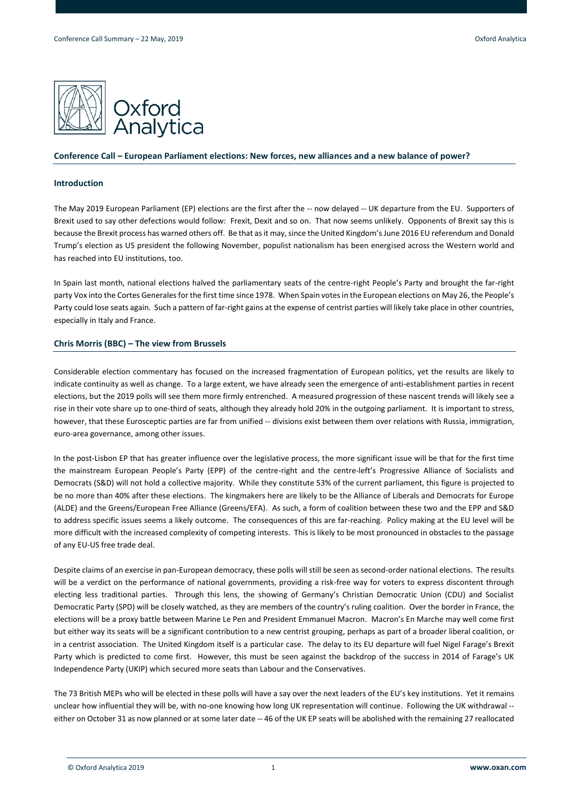

# **Conference Call – European Parliament elections: New forces, new alliances and a new balance of power?**

# **Introduction**

The May 2019 European Parliament (EP) elections are the first after the -- now delayed -- UK departure from the EU. Supporters of Brexit used to say other defections would follow: Frexit, Dexit and so on. That now seems unlikely. Opponents of Brexit say this is because the Brexit process has warned others off. Be that as it may, since the United Kingdom's June 2016 EU referendum and Donald Trump's election as US president the following November, populist nationalism has been energised across the Western world and has reached into EU institutions, too.

In Spain last month, national elections halved the parliamentary seats of the centre-right People's Party and brought the far-right party Vox into the Cortes Generales for the first time since 1978. When Spain votes in the European elections on May 26, the People's Party could lose seats again. Such a pattern of far-right gains at the expense of centrist parties will likely take place in other countries, especially in Italy and France.

# **Chris Morris (BBC) – The view from Brussels**

Considerable election commentary has focused on the increased fragmentation of European politics, yet the results are likely to indicate continuity as well as change. To a large extent, we have already seen the emergence of anti-establishment parties in recent elections, but the 2019 polls will see them more firmly entrenched. A measured progression of these nascent trends will likely see a rise in their vote share up to one-third of seats, although they already hold 20% in the outgoing parliament. It is important to stress, however, that these Eurosceptic parties are far from unified -- divisions exist between them over relations with Russia, immigration, euro-area governance, among other issues.

In the post-Lisbon EP that has greater influence over the legislative process, the more significant issue will be that for the first time the mainstream European People's Party (EPP) of the centre-right and the centre-left's Progressive Alliance of Socialists and Democrats (S&D) will not hold a collective majority. While they constitute 53% of the current parliament, this figure is projected to be no more than 40% after these elections. The kingmakers here are likely to be the Alliance of Liberals and Democrats for Europe (ALDE) and the Greens/European Free Alliance (Greens/EFA). As such, a form of coalition between these two and the EPP and S&D to address specific issues seems a likely outcome. The consequences of this are far-reaching. Policy making at the EU level will be more difficult with the increased complexity of competing interests. This is likely to be most pronounced in obstacles to the passage of any EU-US free trade deal.

Despite claims of an exercise in pan-European democracy, these polls will still be seen as second-order national elections. The results will be a verdict on the performance of national governments, providing a risk-free way for voters to express discontent through electing less traditional parties. Through this lens, the showing of Germany's Christian Democratic Union (CDU) and Socialist Democratic Party (SPD) will be closely watched, as they are members of the country's ruling coalition. Over the border in France, the elections will be a proxy battle between Marine Le Pen and President Emmanuel Macron. Macron's En Marche may well come first but either way its seats will be a significant contribution to a new centrist grouping, perhaps as part of a broader liberal coalition, or in a centrist association. The United Kingdom itself is a particular case. The delay to its EU departure will fuel Nigel Farage's Brexit Party which is predicted to come first. However, this must be seen against the backdrop of the success in 2014 of Farage's UK Independence Party (UKIP) which secured more seats than Labour and the Conservatives.

The 73 British MEPs who will be elected in these polls will have a say over the next leaders of the EU's key institutions. Yet it remains unclear how influential they will be, with no-one knowing how long UK representation will continue. Following the UK withdrawal - either on October 31 as now planned or at some later date -- 46 of the UK EP seats will be abolished with the remaining 27 reallocated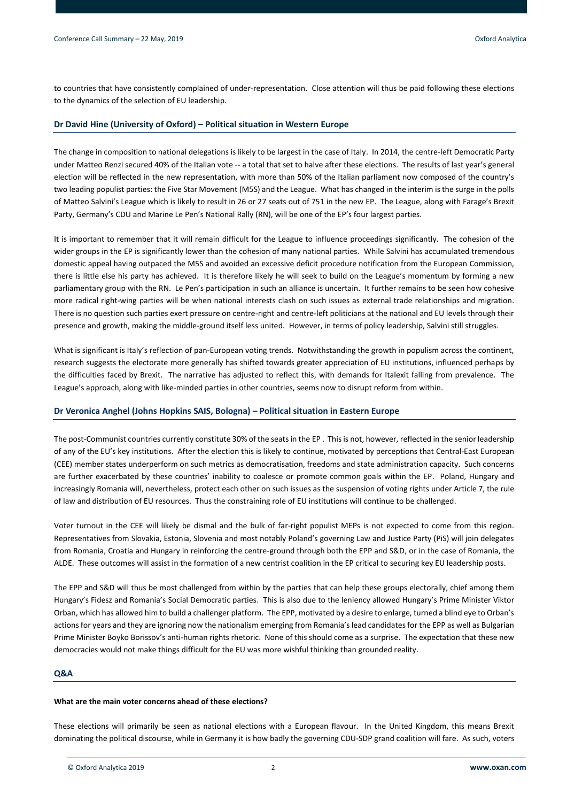to countries that have consistently complained of under-representation. Close attention will thus be paid following these elections to the dynamics of the selection of EU leadership.

# **Dr David Hine (University of Oxford) – Political situation in Western Europe**

The change in composition to national delegations is likely to be largest in the case of Italy. In 2014, the centre-left Democratic Party under Matteo Renzi secured 40% of the Italian vote -- a total that set to halve after these elections. The results of last year's general election will be reflected in the new representation, with more than 50% of the Italian parliament now composed of the country's two leading populist parties: the Five Star Movement (M5S) and the League. What has changed in the interim is the surge in the polls of Matteo Salvini's League which is likely to result in 26 or 27 seats out of 751 in the new EP. The League, along with Farage's Brexit Party, Germany's CDU and Marine Le Pen's National Rally (RN), will be one of the EP's four largest parties.

It is important to remember that it will remain difficult for the League to influence proceedings significantly. The cohesion of the wider groups in the EP is significantly lower than the cohesion of many national parties. While Salvini has accumulated tremendous domestic appeal having outpaced the M5S and avoided an excessive deficit procedure notification from the European Commission, there is little else his party has achieved. It is therefore likely he will seek to build on the League's momentum by forming a new parliamentary group with the RN. Le Pen's participation in such an alliance is uncertain. It further remains to be seen how cohesive more radical right-wing parties will be when national interests clash on such issues as external trade relationships and migration. There is no question such parties exert pressure on centre-right and centre-left politicians at the national and EU levels through their presence and growth, making the middle-ground itself less united. However, in terms of policy leadership, Salvini still struggles.

What is significant is Italy's reflection of pan-European voting trends. Notwithstanding the growth in populism across the continent, research suggests the electorate more generally has shifted towards greater appreciation of EU institutions, influenced perhaps by the difficulties faced by Brexit. The narrative has adjusted to reflect this, with demands for Italexit falling from prevalence. The League's approach, along with like-minded parties in other countries, seems now to disrupt reform from within.

# **Dr Veronica Anghel (Johns Hopkins SAIS, Bologna) – Political situation in Eastern Europe**

The post-Communist countries currently constitute 30% of the seats in the EP . This is not, however, reflected in the senior leadership of any of the EU's key institutions. After the election this is likely to continue, motivated by perceptions that Central-East European (CEE) member states underperform on such metrics as democratisation, freedoms and state administration capacity. Such concerns are further exacerbated by these countries' inability to coalesce or promote common goals within the EP. Poland, Hungary and increasingly Romania will, nevertheless, protect each other on such issues as the suspension of voting rights under Article 7, the rule of law and distribution of EU resources. Thus the constraining role of EU institutions will continue to be challenged.

Voter turnout in the CEE will likely be dismal and the bulk of far-right populist MEPs is not expected to come from this region. Representatives from Slovakia, Estonia, Slovenia and most notably Poland's governing Law and Justice Party (PiS) will join delegates from Romania, Croatia and Hungary in reinforcing the centre-ground through both the EPP and S&D, or in the case of Romania, the ALDE. These outcomes will assist in the formation of a new centrist coalition in the EP critical to securing key EU leadership posts.

The EPP and S&D will thus be most challenged from within by the parties that can help these groups electorally, chief among them Hungary's Fidesz and Romania's Social Democratic parties. This is also due to the leniency allowed Hungary's Prime Minister Viktor Orban, which has allowed him to build a challenger platform. The EPP, motivated by a desire to enlarge, turned a blind eye to Orban's actions for years and they are ignoring now the nationalism emerging from Romania's lead candidates for the EPP as well as Bulgarian Prime Minister Boyko Borissov's anti-human rights rhetoric. None of this should come as a surprise. The expectation that these new democracies would not make things difficult for the EU was more wishful thinking than grounded reality.

# **Q&A**

#### **What are the main voter concerns ahead of these elections?**

These elections will primarily be seen as national elections with a European flavour. In the United Kingdom, this means Brexit dominating the political discourse, while in Germany it is how badly the governing CDU-SDP grand coalition will fare. As such, voters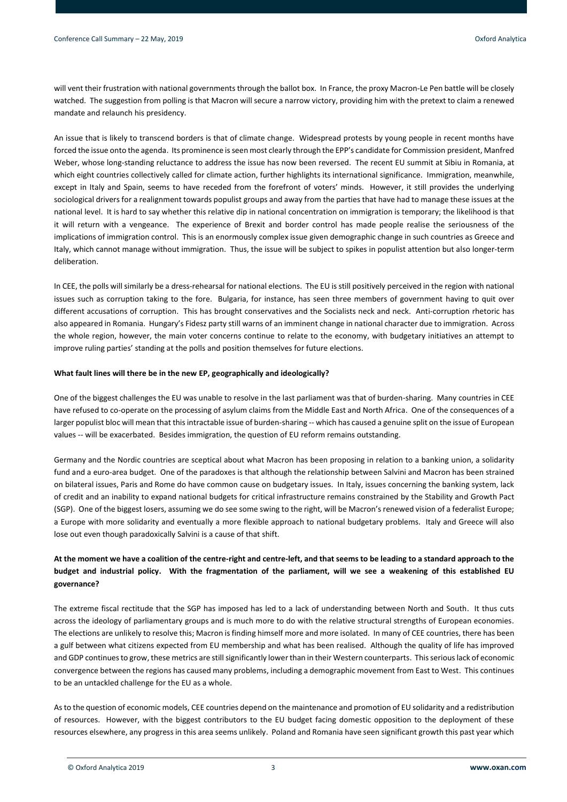will vent their frustration with national governments through the ballot box. In France, the proxy Macron-Le Pen battle will be closely watched. The suggestion from polling is that Macron will secure a narrow victory, providing him with the pretext to claim a renewed mandate and relaunch his presidency.

An issue that is likely to transcend borders is that of climate change. Widespread protests by young people in recent months have forced the issue onto the agenda. Its prominence is seen most clearly through the EPP's candidate for Commission president, Manfred Weber, whose long-standing reluctance to address the issue has now been reversed. The recent EU summit at Sibiu in Romania, at which eight countries collectively called for climate action, further highlights its international significance. Immigration, meanwhile, except in Italy and Spain, seems to have receded from the forefront of voters' minds. However, it still provides the underlying sociological drivers for a realignment towards populist groups and away from the parties that have had to manage these issues at the national level. It is hard to say whether this relative dip in national concentration on immigration is temporary; the likelihood is that it will return with a vengeance. The experience of Brexit and border control has made people realise the seriousness of the implications of immigration control. This is an enormously complex issue given demographic change in such countries as Greece and Italy, which cannot manage without immigration. Thus, the issue will be subject to spikes in populist attention but also longer-term deliberation.

In CEE, the polls will similarly be a dress-rehearsal for national elections. The EU is still positively perceived in the region with national issues such as corruption taking to the fore. Bulgaria, for instance, has seen three members of government having to quit over different accusations of corruption. This has brought conservatives and the Socialists neck and neck. Anti-corruption rhetoric has also appeared in Romania. Hungary's Fidesz party still warns of an imminent change in national character due to immigration. Across the whole region, however, the main voter concerns continue to relate to the economy, with budgetary initiatives an attempt to improve ruling parties' standing at the polls and position themselves for future elections.

# **What fault lines will there be in the new EP, geographically and ideologically?**

One of the biggest challenges the EU was unable to resolve in the last parliament was that of burden-sharing. Many countries in CEE have refused to co-operate on the processing of asylum claims from the Middle East and North Africa. One of the consequences of a larger populist bloc will mean that this intractable issue of burden-sharing -- which has caused a genuine split on the issue of European values -- will be exacerbated. Besides immigration, the question of EU reform remains outstanding.

Germany and the Nordic countries are sceptical about what Macron has been proposing in relation to a banking union, a solidarity fund and a euro-area budget. One of the paradoxes is that although the relationship between Salvini and Macron has been strained on bilateral issues, Paris and Rome do have common cause on budgetary issues. In Italy, issues concerning the banking system, lack of credit and an inability to expand national budgets for critical infrastructure remains constrained by the Stability and Growth Pact (SGP). One of the biggest losers, assuming we do see some swing to the right, will be Macron's renewed vision of a federalist Europe; a Europe with more solidarity and eventually a more flexible approach to national budgetary problems. Italy and Greece will also lose out even though paradoxically Salvini is a cause of that shift.

# **At the moment we have a coalition of the centre-right and centre-left, and that seems to be leading to a standard approach to the budget and industrial policy. With the fragmentation of the parliament, will we see a weakening of this established EU governance?**

The extreme fiscal rectitude that the SGP has imposed has led to a lack of understanding between North and South. It thus cuts across the ideology of parliamentary groups and is much more to do with the relative structural strengths of European economies. The elections are unlikely to resolve this; Macron is finding himself more and more isolated. In many of CEE countries, there has been a gulf between what citizens expected from EU membership and what has been realised. Although the quality of life has improved and GDP continues to grow, these metrics are still significantly lower than in their Western counterparts. This seriouslack of economic convergence between the regions has caused many problems, including a demographic movement from East to West. This continues to be an untackled challenge for the EU as a whole.

As to the question of economic models, CEE countries depend on the maintenance and promotion of EU solidarity and a redistribution of resources. However, with the biggest contributors to the EU budget facing domestic opposition to the deployment of these resources elsewhere, any progress in this area seems unlikely. Poland and Romania have seen significant growth this past year which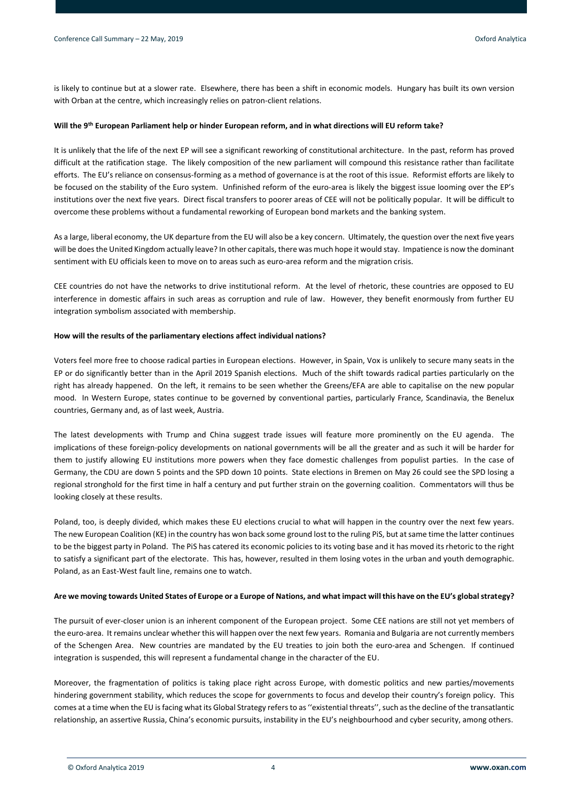is likely to continue but at a slower rate. Elsewhere, there has been a shift in economic models. Hungary has built its own version with Orban at the centre, which increasingly relies on patron-client relations.

# **Will the 9th European Parliament help or hinder European reform, and in what directions will EU reform take?**

It is unlikely that the life of the next EP will see a significant reworking of constitutional architecture. In the past, reform has proved difficult at the ratification stage. The likely composition of the new parliament will compound this resistance rather than facilitate efforts. The EU's reliance on consensus-forming as a method of governance is at the root of this issue. Reformist efforts are likely to be focused on the stability of the Euro system. Unfinished reform of the euro-area is likely the biggest issue looming over the EP's institutions over the next five years. Direct fiscal transfers to poorer areas of CEE will not be politically popular. It will be difficult to overcome these problems without a fundamental reworking of European bond markets and the banking system.

As a large, liberal economy, the UK departure from the EU will also be a key concern. Ultimately, the question over the next five years will be does the United Kingdom actually leave? In other capitals, there was much hope it would stay. Impatience is now the dominant sentiment with EU officials keen to move on to areas such as euro-area reform and the migration crisis.

CEE countries do not have the networks to drive institutional reform. At the level of rhetoric, these countries are opposed to EU interference in domestic affairs in such areas as corruption and rule of law. However, they benefit enormously from further EU integration symbolism associated with membership.

# **How will the results of the parliamentary elections affect individual nations?**

Voters feel more free to choose radical parties in European elections. However, in Spain, Vox is unlikely to secure many seats in the EP or do significantly better than in the April 2019 Spanish elections. Much of the shift towards radical parties particularly on the right has already happened. On the left, it remains to be seen whether the Greens/EFA are able to capitalise on the new popular mood. In Western Europe, states continue to be governed by conventional parties, particularly France, Scandinavia, the Benelux countries, Germany and, as of last week, Austria.

The latest developments with Trump and China suggest trade issues will feature more prominently on the EU agenda. The implications of these foreign-policy developments on national governments will be all the greater and as such it will be harder for them to justify allowing EU institutions more powers when they face domestic challenges from populist parties. In the case of Germany, the CDU are down 5 points and the SPD down 10 points. State elections in Bremen on May 26 could see the SPD losing a regional stronghold for the first time in half a century and put further strain on the governing coalition. Commentators will thus be looking closely at these results.

Poland, too, is deeply divided, which makes these EU elections crucial to what will happen in the country over the next few years. The new European Coalition (KE) in the country has won back some ground lost to the ruling PiS, but at same time the latter continues to be the biggest party in Poland. The PiS has catered its economic policies to its voting base and it has moved its rhetoric to the right to satisfy a significant part of the electorate. This has, however, resulted in them losing votes in the urban and youth demographic. Poland, as an East-West fault line, remains one to watch.

# **Are we moving towards United States of Europe or a Europe of Nations, and what impact will this have on the EU's global strategy?**

The pursuit of ever-closer union is an inherent component of the European project. Some CEE nations are still not yet members of the euro-area. It remains unclear whether this will happen over the next few years. Romania and Bulgaria are not currently members of the Schengen Area. New countries are mandated by the EU treaties to join both the euro-area and Schengen. If continued integration is suspended, this will represent a fundamental change in the character of the EU.

Moreover, the fragmentation of politics is taking place right across Europe, with domestic politics and new parties/movements hindering government stability, which reduces the scope for governments to focus and develop their country's foreign policy. This comes at a time when the EU is facing what its Global Strategy refers to as ''existential threats'', such as the decline of the transatlantic relationship, an assertive Russia, China's economic pursuits, instability in the EU's neighbourhood and cyber security, among others.